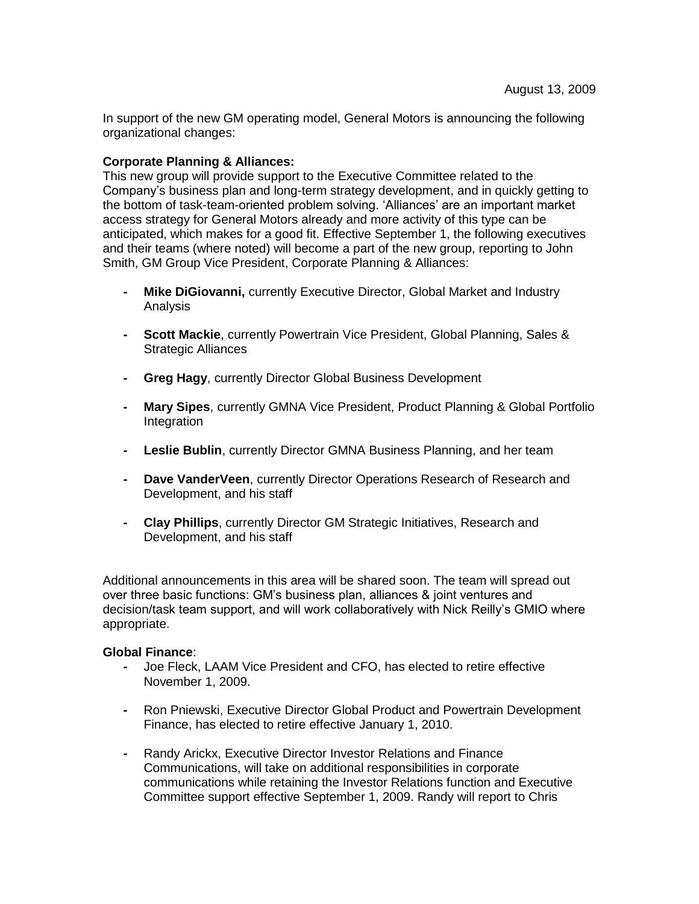In support of the new GM operating model, General Motors is announcing the following organizational changes:

### **Corporate Planning & Alliances:**

This new group will provide support to the Executive Committee related to the Company's business plan and long-term strategy development, and in quickly getting to the bottom of task-team-oriented problem solving. 'Alliances' are an important market access strategy for General Motors already and more activity of this type can be anticipated, which makes for a good fit. Effective September 1, the following executives and their teams (where noted) will become a part of the new group, reporting to John Smith, GM Group Vice President, Corporate Planning & Alliances:

- **- Mike DiGiovanni,** currently Executive Director, Global Market and Industry Analysis
- **- Scott Mackie**, currently Powertrain Vice President, Global Planning, Sales & Strategic Alliances
- **- Greg Hagy**, currently Director Global Business Development
- **- Mary Sipes**, currently GMNA Vice President, Product Planning & Global Portfolio Integration
- **- Leslie Bublin**, currently Director GMNA Business Planning, and her team
- **- Dave VanderVeen**, currently Director Operations Research of Research and Development, and his staff
- **- Clay Phillips**, currently Director GM Strategic Initiatives, Research and Development, and his staff

Additional announcements in this area will be shared soon. The team will spread out over three basic functions: GM's business plan, alliances & joint ventures and decision/task team support, and will work collaboratively with Nick Reilly's GMIO where appropriate.

#### **Global Finance**:

- **-** Joe Fleck, LAAM Vice President and CFO, has elected to retire effective November 1, 2009.
- **-** Ron Pniewski, Executive Director Global Product and Powertrain Development Finance, has elected to retire effective January 1, 2010.
- **-** Randy Arickx, Executive Director Investor Relations and Finance Communications, will take on additional responsibilities in corporate communications while retaining the Investor Relations function and Executive Committee support effective September 1, 2009. Randy will report to Chris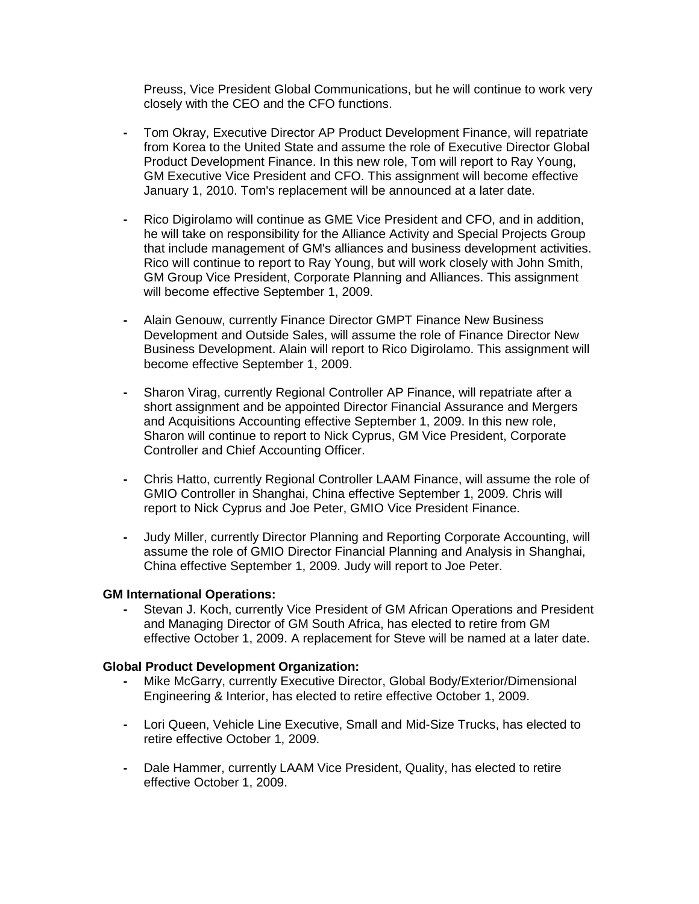Preuss, Vice President Global Communications, but he will continue to work very closely with the CEO and the CFO functions.

- **-** Tom Okray, Executive Director AP Product Development Finance, will repatriate from Korea to the United State and assume the role of Executive Director Global Product Development Finance. In this new role, Tom will report to Ray Young, GM Executive Vice President and CFO. This assignment will become effective January 1, 2010. Tom's replacement will be announced at a later date.
- **-** Rico Digirolamo will continue as GME Vice President and CFO, and in addition, he will take on responsibility for the Alliance Activity and Special Projects Group that include management of GM's alliances and business development activities. Rico will continue to report to Ray Young, but will work closely with John Smith, GM Group Vice President, Corporate Planning and Alliances. This assignment will become effective September 1, 2009.
- **-** Alain Genouw, currently Finance Director GMPT Finance New Business Development and Outside Sales, will assume the role of Finance Director New Business Development. Alain will report to Rico Digirolamo. This assignment will become effective September 1, 2009.
- **-** Sharon Virag, currently Regional Controller AP Finance, will repatriate after a short assignment and be appointed Director Financial Assurance and Mergers and Acquisitions Accounting effective September 1, 2009. In this new role, Sharon will continue to report to Nick Cyprus, GM Vice President, Corporate Controller and Chief Accounting Officer.
- **-** Chris Hatto, currently Regional Controller LAAM Finance, will assume the role of GMIO Controller in Shanghai, China effective September 1, 2009. Chris will report to Nick Cyprus and Joe Peter, GMIO Vice President Finance.
- **-** Judy Miller, currently Director Planning and Reporting Corporate Accounting, will assume the role of GMIO Director Financial Planning and Analysis in Shanghai, China effective September 1, 2009. Judy will report to Joe Peter.

#### **GM International Operations:**

**-** Stevan J. Koch, currently Vice President of GM African Operations and President and Managing Director of GM South Africa, has elected to retire from GM effective October 1, 2009. A replacement for Steve will be named at a later date.

#### **Global Product Development Organization:**

- **-** Mike McGarry, currently Executive Director, Global Body/Exterior/Dimensional Engineering & Interior, has elected to retire effective October 1, 2009.
- **-** Lori Queen, Vehicle Line Executive, Small and Mid-Size Trucks, has elected to retire effective October 1, 2009.
- **-** Dale Hammer, currently LAAM Vice President, Quality, has elected to retire effective October 1, 2009.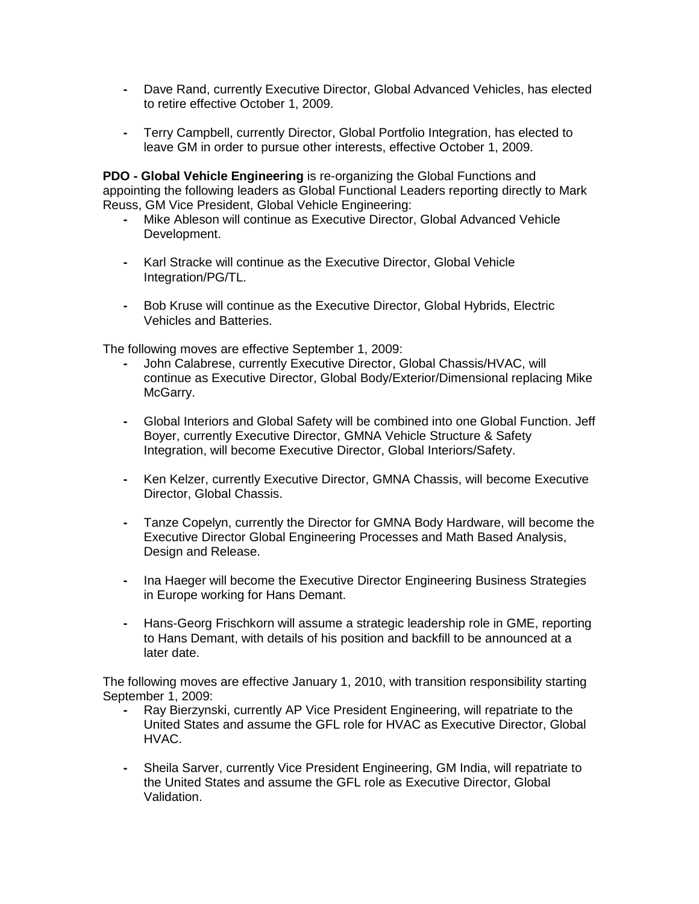- **-** Dave Rand, currently Executive Director, Global Advanced Vehicles, has elected to retire effective October 1, 2009.
- **-** Terry Campbell, currently Director, Global Portfolio Integration, has elected to leave GM in order to pursue other interests, effective October 1, 2009.

**PDO - Global Vehicle Engineering** is re-organizing the Global Functions and appointing the following leaders as Global Functional Leaders reporting directly to Mark Reuss, GM Vice President, Global Vehicle Engineering:

- **-** Mike Ableson will continue as Executive Director, Global Advanced Vehicle Development.
- **-** Karl Stracke will continue as the Executive Director, Global Vehicle Integration/PG/TL.
- **-** Bob Kruse will continue as the Executive Director, Global Hybrids, Electric Vehicles and Batteries.

The following moves are effective September 1, 2009:

- **-** John Calabrese, currently Executive Director, Global Chassis/HVAC, will continue as Executive Director, Global Body/Exterior/Dimensional replacing Mike McGarry.
- **-** Global Interiors and Global Safety will be combined into one Global Function. Jeff Boyer, currently Executive Director, GMNA Vehicle Structure & Safety Integration, will become Executive Director, Global Interiors/Safety.
- **-** Ken Kelzer, currently Executive Director, GMNA Chassis, will become Executive Director, Global Chassis.
- **-** Tanze Copelyn, currently the Director for GMNA Body Hardware, will become the Executive Director Global Engineering Processes and Math Based Analysis, Design and Release.
- **-** Ina Haeger will become the Executive Director Engineering Business Strategies in Europe working for Hans Demant.
- **-** Hans-Georg Frischkorn will assume a strategic leadership role in GME, reporting to Hans Demant, with details of his position and backfill to be announced at a later date.

The following moves are effective January 1, 2010, with transition responsibility starting September 1, 2009:

- **-** Ray Bierzynski, currently AP Vice President Engineering, will repatriate to the United States and assume the GFL role for HVAC as Executive Director, Global HVAC.
- **-** Sheila Sarver, currently Vice President Engineering, GM India, will repatriate to the United States and assume the GFL role as Executive Director, Global Validation.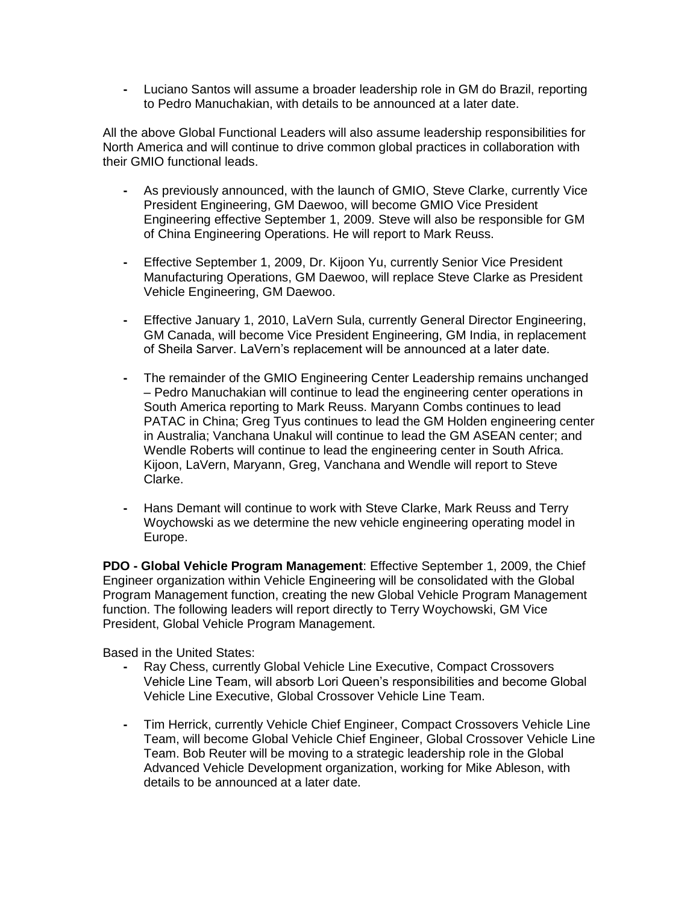**-** Luciano Santos will assume a broader leadership role in GM do Brazil, reporting to Pedro Manuchakian, with details to be announced at a later date.

All the above Global Functional Leaders will also assume leadership responsibilities for North America and will continue to drive common global practices in collaboration with their GMIO functional leads.

- **-** As previously announced, with the launch of GMIO, Steve Clarke, currently Vice President Engineering, GM Daewoo, will become GMIO Vice President Engineering effective September 1, 2009. Steve will also be responsible for GM of China Engineering Operations. He will report to Mark Reuss.
- **-** Effective September 1, 2009, Dr. Kijoon Yu, currently Senior Vice President Manufacturing Operations, GM Daewoo, will replace Steve Clarke as President Vehicle Engineering, GM Daewoo.
- **-** Effective January 1, 2010, LaVern Sula, currently General Director Engineering, GM Canada, will become Vice President Engineering, GM India, in replacement of Sheila Sarver. LaVern's replacement will be announced at a later date.
- **-** The remainder of the GMIO Engineering Center Leadership remains unchanged – Pedro Manuchakian will continue to lead the engineering center operations in South America reporting to Mark Reuss. Maryann Combs continues to lead PATAC in China; Greg Tyus continues to lead the GM Holden engineering center in Australia; Vanchana Unakul will continue to lead the GM ASEAN center; and Wendle Roberts will continue to lead the engineering center in South Africa. Kijoon, LaVern, Maryann, Greg, Vanchana and Wendle will report to Steve Clarke.
- **-** Hans Demant will continue to work with Steve Clarke, Mark Reuss and Terry Woychowski as we determine the new vehicle engineering operating model in Europe.

**PDO - Global Vehicle Program Management**: Effective September 1, 2009, the Chief Engineer organization within Vehicle Engineering will be consolidated with the Global Program Management function, creating the new Global Vehicle Program Management function. The following leaders will report directly to Terry Woychowski, GM Vice President, Global Vehicle Program Management.

Based in the United States:

- **-** Ray Chess, currently Global Vehicle Line Executive, Compact Crossovers Vehicle Line Team, will absorb Lori Queen's responsibilities and become Global Vehicle Line Executive, Global Crossover Vehicle Line Team.
- **-** Tim Herrick, currently Vehicle Chief Engineer, Compact Crossovers Vehicle Line Team, will become Global Vehicle Chief Engineer, Global Crossover Vehicle Line Team. Bob Reuter will be moving to a strategic leadership role in the Global Advanced Vehicle Development organization, working for Mike Ableson, with details to be announced at a later date.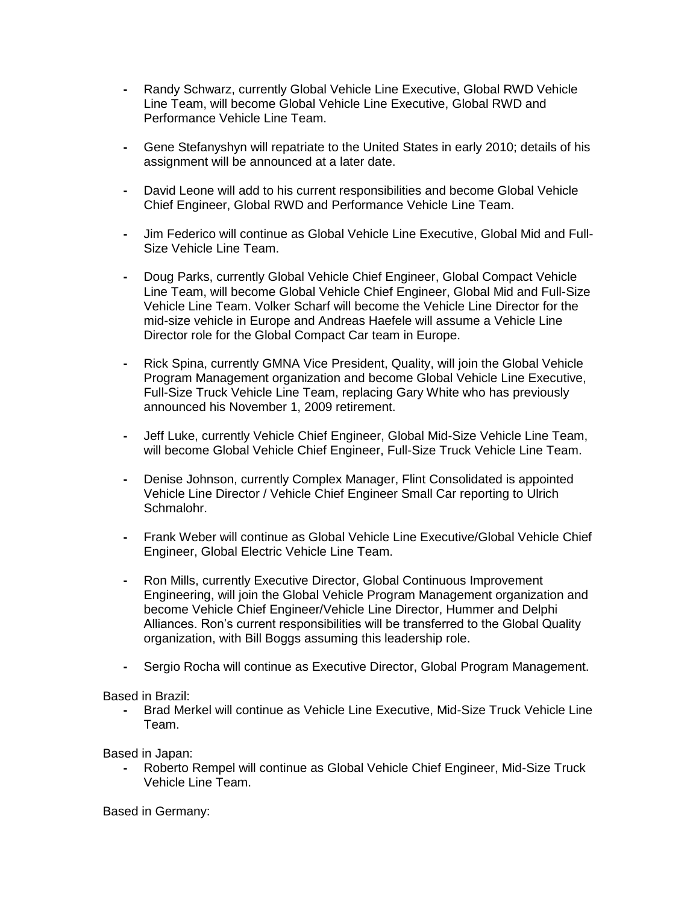- **-** Randy Schwarz, currently Global Vehicle Line Executive, Global RWD Vehicle Line Team, will become Global Vehicle Line Executive, Global RWD and Performance Vehicle Line Team.
- **-** Gene Stefanyshyn will repatriate to the United States in early 2010; details of his assignment will be announced at a later date.
- **-** David Leone will add to his current responsibilities and become Global Vehicle Chief Engineer, Global RWD and Performance Vehicle Line Team.
- **-** Jim Federico will continue as Global Vehicle Line Executive, Global Mid and Full-Size Vehicle Line Team.
- **-** Doug Parks, currently Global Vehicle Chief Engineer, Global Compact Vehicle Line Team, will become Global Vehicle Chief Engineer, Global Mid and Full-Size Vehicle Line Team. Volker Scharf will become the Vehicle Line Director for the mid-size vehicle in Europe and Andreas Haefele will assume a Vehicle Line Director role for the Global Compact Car team in Europe.
- **-** Rick Spina, currently GMNA Vice President, Quality, will join the Global Vehicle Program Management organization and become Global Vehicle Line Executive, Full-Size Truck Vehicle Line Team, replacing Gary White who has previously announced his November 1, 2009 retirement.
- **-** Jeff Luke, currently Vehicle Chief Engineer, Global Mid-Size Vehicle Line Team, will become Global Vehicle Chief Engineer, Full-Size Truck Vehicle Line Team.
- **-** Denise Johnson, currently Complex Manager, Flint Consolidated is appointed Vehicle Line Director / Vehicle Chief Engineer Small Car reporting to Ulrich Schmalohr.
- **-** Frank Weber will continue as Global Vehicle Line Executive/Global Vehicle Chief Engineer, Global Electric Vehicle Line Team.
- **-** Ron Mills, currently Executive Director, Global Continuous Improvement Engineering, will join the Global Vehicle Program Management organization and become Vehicle Chief Engineer/Vehicle Line Director, Hummer and Delphi Alliances. Ron's current responsibilities will be transferred to the Global Quality organization, with Bill Boggs assuming this leadership role.
- **-** Sergio Rocha will continue as Executive Director, Global Program Management.

#### Based in Brazil:

**-** Brad Merkel will continue as Vehicle Line Executive, Mid-Size Truck Vehicle Line Team.

Based in Japan:

**-** Roberto Rempel will continue as Global Vehicle Chief Engineer, Mid-Size Truck Vehicle Line Team.

Based in Germany: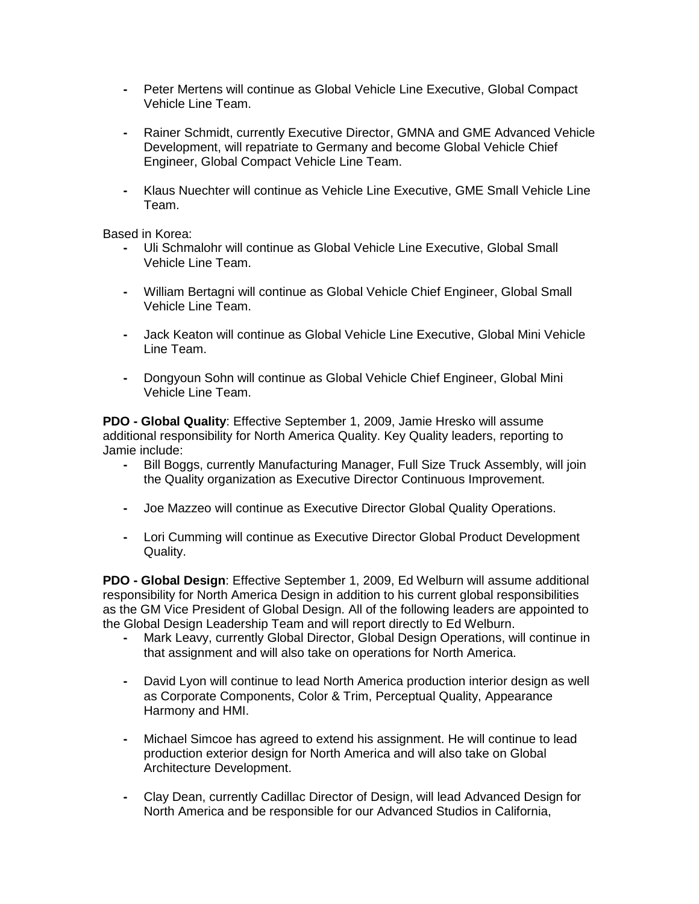- **-** Peter Mertens will continue as Global Vehicle Line Executive, Global Compact Vehicle Line Team.
- **-** Rainer Schmidt, currently Executive Director, GMNA and GME Advanced Vehicle Development, will repatriate to Germany and become Global Vehicle Chief Engineer, Global Compact Vehicle Line Team.
- **-** Klaus Nuechter will continue as Vehicle Line Executive, GME Small Vehicle Line Team.

Based in Korea:

- **-** Uli Schmalohr will continue as Global Vehicle Line Executive, Global Small Vehicle Line Team.
- **-** William Bertagni will continue as Global Vehicle Chief Engineer, Global Small Vehicle Line Team.
- **-** Jack Keaton will continue as Global Vehicle Line Executive, Global Mini Vehicle Line Team.
- **-** Dongyoun Sohn will continue as Global Vehicle Chief Engineer, Global Mini Vehicle Line Team.

**PDO - Global Quality**: Effective September 1, 2009, Jamie Hresko will assume additional responsibility for North America Quality. Key Quality leaders, reporting to Jamie include:

- **-** Bill Boggs, currently Manufacturing Manager, Full Size Truck Assembly, will join the Quality organization as Executive Director Continuous Improvement.
- **-** Joe Mazzeo will continue as Executive Director Global Quality Operations.
- **-** Lori Cumming will continue as Executive Director Global Product Development Quality.

**PDO - Global Design**: Effective September 1, 2009, Ed Welburn will assume additional responsibility for North America Design in addition to his current global responsibilities as the GM Vice President of Global Design. All of the following leaders are appointed to the Global Design Leadership Team and will report directly to Ed Welburn.

- **-** Mark Leavy, currently Global Director, Global Design Operations, will continue in that assignment and will also take on operations for North America.
- **-** David Lyon will continue to lead North America production interior design as well as Corporate Components, Color & Trim, Perceptual Quality, Appearance Harmony and HMI.
- **-** Michael Simcoe has agreed to extend his assignment. He will continue to lead production exterior design for North America and will also take on Global Architecture Development.
- **-** Clay Dean, currently Cadillac Director of Design, will lead Advanced Design for North America and be responsible for our Advanced Studios in California,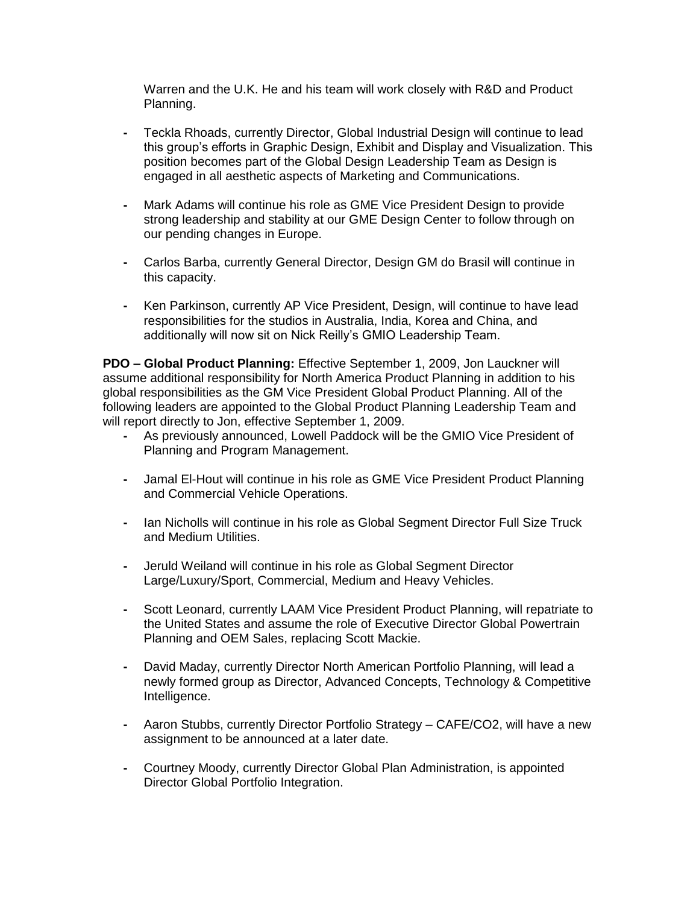Warren and the U.K. He and his team will work closely with R&D and Product Planning.

- **-** Teckla Rhoads, currently Director, Global Industrial Design will continue to lead this group's efforts in Graphic Design, Exhibit and Display and Visualization. This position becomes part of the Global Design Leadership Team as Design is engaged in all aesthetic aspects of Marketing and Communications.
- **-** Mark Adams will continue his role as GME Vice President Design to provide strong leadership and stability at our GME Design Center to follow through on our pending changes in Europe.
- **-** Carlos Barba, currently General Director, Design GM do Brasil will continue in this capacity.
- **-** Ken Parkinson, currently AP Vice President, Design, will continue to have lead responsibilities for the studios in Australia, India, Korea and China, and additionally will now sit on Nick Reilly's GMIO Leadership Team.

**PDO – Global Product Planning:** Effective September 1, 2009, Jon Lauckner will assume additional responsibility for North America Product Planning in addition to his global responsibilities as the GM Vice President Global Product Planning. All of the following leaders are appointed to the Global Product Planning Leadership Team and will report directly to Jon, effective September 1, 2009.

- **-** As previously announced, Lowell Paddock will be the GMIO Vice President of Planning and Program Management.
- **-** Jamal El-Hout will continue in his role as GME Vice President Product Planning and Commercial Vehicle Operations.
- **-** Ian Nicholls will continue in his role as Global Segment Director Full Size Truck and Medium Utilities.
- **-** Jeruld Weiland will continue in his role as Global Segment Director Large/Luxury/Sport, Commercial, Medium and Heavy Vehicles.
- **-** Scott Leonard, currently LAAM Vice President Product Planning, will repatriate to the United States and assume the role of Executive Director Global Powertrain Planning and OEM Sales, replacing Scott Mackie.
- **-** David Maday, currently Director North American Portfolio Planning, will lead a newly formed group as Director, Advanced Concepts, Technology & Competitive Intelligence.
- **-** Aaron Stubbs, currently Director Portfolio Strategy CAFE/CO2, will have a new assignment to be announced at a later date.
- **-** Courtney Moody, currently Director Global Plan Administration, is appointed Director Global Portfolio Integration.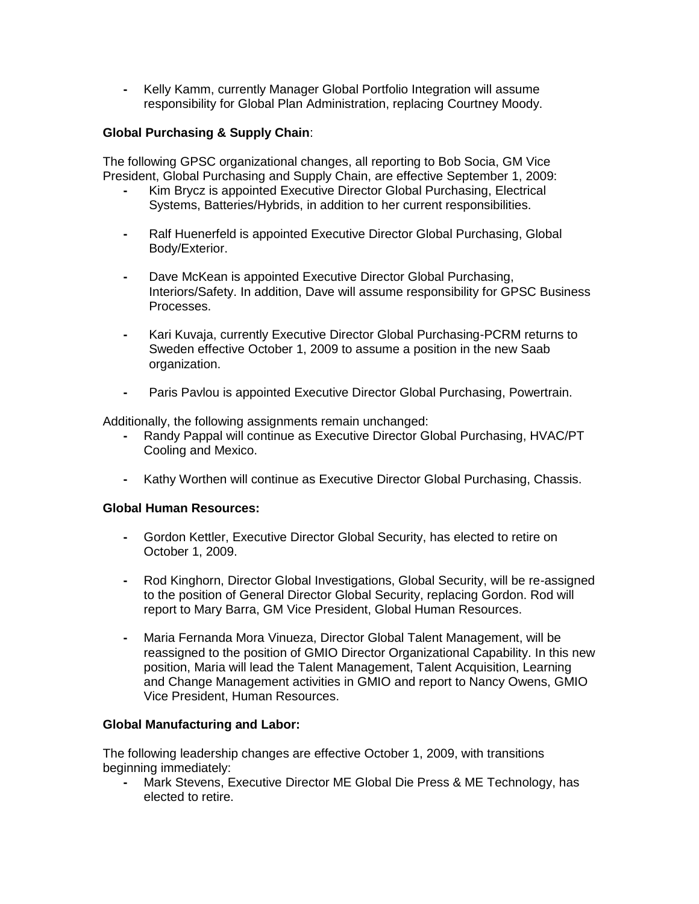**-** Kelly Kamm, currently Manager Global Portfolio Integration will assume responsibility for Global Plan Administration, replacing Courtney Moody.

# **Global Purchasing & Supply Chain**:

The following GPSC organizational changes, all reporting to Bob Socia, GM Vice President, Global Purchasing and Supply Chain, are effective September 1, 2009:

- **-** Kim Brycz is appointed Executive Director Global Purchasing, Electrical Systems, Batteries/Hybrids, in addition to her current responsibilities.
- **-** Ralf Huenerfeld is appointed Executive Director Global Purchasing, Global Body/Exterior.
- **-** Dave McKean is appointed Executive Director Global Purchasing, Interiors/Safety. In addition, Dave will assume responsibility for GPSC Business Processes.
- **-** Kari Kuvaja, currently Executive Director Global Purchasing-PCRM returns to Sweden effective October 1, 2009 to assume a position in the new Saab organization.
- **-** Paris Pavlou is appointed Executive Director Global Purchasing, Powertrain.

Additionally, the following assignments remain unchanged:

- **-** Randy Pappal will continue as Executive Director Global Purchasing, HVAC/PT Cooling and Mexico.
- **-** Kathy Worthen will continue as Executive Director Global Purchasing, Chassis.

### **Global Human Resources:**

- **-** Gordon Kettler, Executive Director Global Security, has elected to retire on October 1, 2009.
- **-** Rod Kinghorn, Director Global Investigations, Global Security, will be re-assigned to the position of General Director Global Security, replacing Gordon. Rod will report to Mary Barra, GM Vice President, Global Human Resources.
- **-** Maria Fernanda Mora Vinueza, Director Global Talent Management, will be reassigned to the position of GMIO Director Organizational Capability. In this new position, Maria will lead the Talent Management, Talent Acquisition, Learning and Change Management activities in GMIO and report to Nancy Owens, GMIO Vice President, Human Resources.

## **Global Manufacturing and Labor:**

The following leadership changes are effective October 1, 2009, with transitions beginning immediately:

**-** Mark Stevens, Executive Director ME Global Die Press & ME Technology, has elected to retire.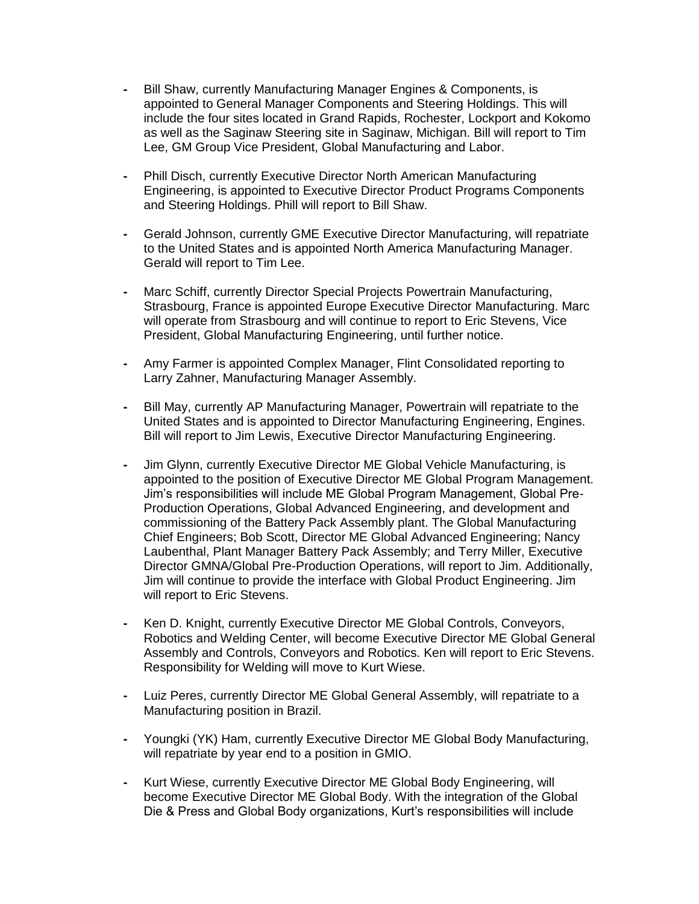- **-** Bill Shaw, currently Manufacturing Manager Engines & Components, is appointed to General Manager Components and Steering Holdings. This will include the four sites located in Grand Rapids, Rochester, Lockport and Kokomo as well as the Saginaw Steering site in Saginaw, Michigan. Bill will report to Tim Lee, GM Group Vice President, Global Manufacturing and Labor.
- **-** Phill Disch, currently Executive Director North American Manufacturing Engineering, is appointed to Executive Director Product Programs Components and Steering Holdings. Phill will report to Bill Shaw.
- **-** Gerald Johnson, currently GME Executive Director Manufacturing, will repatriate to the United States and is appointed North America Manufacturing Manager. Gerald will report to Tim Lee.
- **-** Marc Schiff, currently Director Special Projects Powertrain Manufacturing, Strasbourg, France is appointed Europe Executive Director Manufacturing. Marc will operate from Strasbourg and will continue to report to Eric Stevens, Vice President, Global Manufacturing Engineering, until further notice.
- **-** Amy Farmer is appointed Complex Manager, Flint Consolidated reporting to Larry Zahner, Manufacturing Manager Assembly.
- **-** Bill May, currently AP Manufacturing Manager, Powertrain will repatriate to the United States and is appointed to Director Manufacturing Engineering, Engines. Bill will report to Jim Lewis, Executive Director Manufacturing Engineering.
- **-** Jim Glynn, currently Executive Director ME Global Vehicle Manufacturing, is appointed to the position of Executive Director ME Global Program Management. Jim's responsibilities will include ME Global Program Management, Global Pre-Production Operations, Global Advanced Engineering, and development and commissioning of the Battery Pack Assembly plant. The Global Manufacturing Chief Engineers; Bob Scott, Director ME Global Advanced Engineering; Nancy Laubenthal, Plant Manager Battery Pack Assembly; and Terry Miller, Executive Director GMNA/Global Pre-Production Operations, will report to Jim. Additionally, Jim will continue to provide the interface with Global Product Engineering. Jim will report to Eric Stevens.
- **-** Ken D. Knight, currently Executive Director ME Global Controls, Conveyors, Robotics and Welding Center, will become Executive Director ME Global General Assembly and Controls, Conveyors and Robotics. Ken will report to Eric Stevens. Responsibility for Welding will move to Kurt Wiese.
- **-** Luiz Peres, currently Director ME Global General Assembly, will repatriate to a Manufacturing position in Brazil.
- **-** Youngki (YK) Ham, currently Executive Director ME Global Body Manufacturing, will repatriate by year end to a position in GMIO.
- **-** Kurt Wiese, currently Executive Director ME Global Body Engineering, will become Executive Director ME Global Body. With the integration of the Global Die & Press and Global Body organizations, Kurt's responsibilities will include